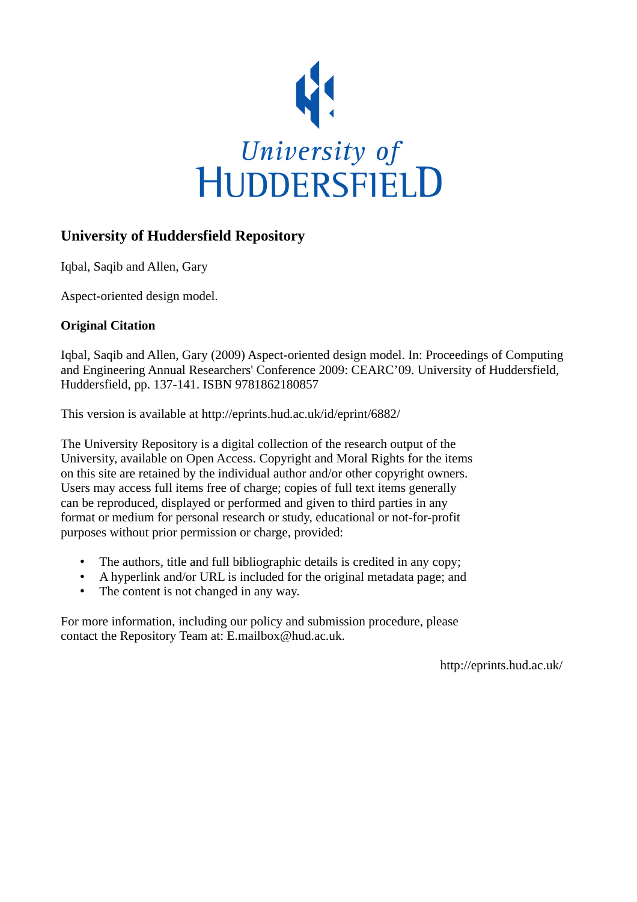

# **University of Huddersfield Repository**

Iqbal, Saqib and Allen, Gary

Aspect-oriented design model.

### **Original Citation**

Iqbal, Saqib and Allen, Gary (2009) Aspect-oriented design model. In: Proceedings of Computing and Engineering Annual Researchers' Conference 2009: CEARC'09. University of Huddersfield, Huddersfield, pp. 137-141. ISBN 9781862180857

This version is available at http://eprints.hud.ac.uk/id/eprint/6882/

The University Repository is a digital collection of the research output of the University, available on Open Access. Copyright and Moral Rights for the items on this site are retained by the individual author and/or other copyright owners. Users may access full items free of charge; copies of full text items generally can be reproduced, displayed or performed and given to third parties in any format or medium for personal research or study, educational or not-for-profit purposes without prior permission or charge, provided:

- The authors, title and full bibliographic details is credited in any copy;
- A hyperlink and/or URL is included for the original metadata page; and
- The content is not changed in any way.

For more information, including our policy and submission procedure, please contact the Repository Team at: E.mailbox@hud.ac.uk.

http://eprints.hud.ac.uk/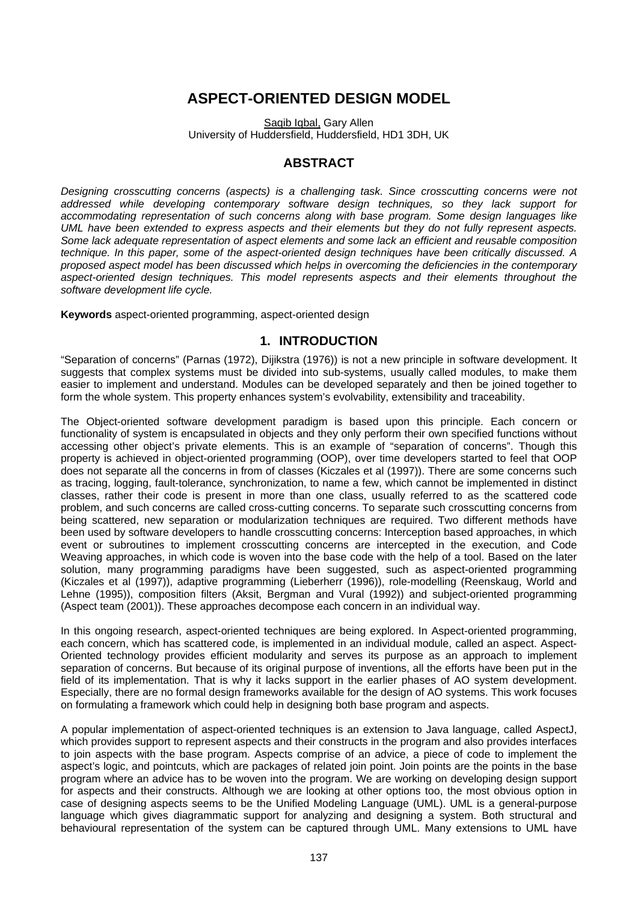# **ASPECT-ORIENTED DESIGN MODEL**

Saqib Iqbal, Gary Allen University of Huddersfield, Huddersfield, HD1 3DH, UK

#### **ABSTRACT**

*Designing crosscutting concerns (aspects) is a challenging task. Since crosscutting concerns were not addressed while developing contemporary software design techniques, so they lack support for accommodating representation of such concerns along with base program. Some design languages like UML have been extended to express aspects and their elements but they do not fully represent aspects. Some lack adequate representation of aspect elements and some lack an efficient and reusable composition technique. In this paper, some of the aspect-oriented design techniques have been critically discussed. A proposed aspect model has been discussed which helps in overcoming the deficiencies in the contemporary aspect-oriented design techniques. This model represents aspects and their elements throughout the software development life cycle.* 

**Keywords** aspect-oriented programming, aspect-oriented design

#### **1. INTRODUCTION**

"Separation of concerns" (Parnas (1972), Dijikstra (1976)) is not a new principle in software development. It suggests that complex systems must be divided into sub-systems, usually called modules, to make them easier to implement and understand. Modules can be developed separately and then be joined together to form the whole system. This property enhances system's evolvability, extensibility and traceability.

The Object-oriented software development paradigm is based upon this principle. Each concern or functionality of system is encapsulated in objects and they only perform their own specified functions without accessing other object's private elements. This is an example of "separation of concerns". Though this property is achieved in object-oriented programming (OOP), over time developers started to feel that OOP does not separate all the concerns in from of classes (Kiczales et al (1997)). There are some concerns such as tracing, logging, fault-tolerance, synchronization, to name a few, which cannot be implemented in distinct classes, rather their code is present in more than one class, usually referred to as the scattered code problem, and such concerns are called cross-cutting concerns. To separate such crosscutting concerns from being scattered, new separation or modularization techniques are required. Two different methods have been used by software developers to handle crosscutting concerns: Interception based approaches, in which event or subroutines to implement crosscutting concerns are intercepted in the execution, and Code Weaving approaches, in which code is woven into the base code with the help of a tool. Based on the later solution, many programming paradigms have been suggested, such as aspect-oriented programming (Kiczales et al (1997)), adaptive programming (Lieberherr (1996)), role-modelling (Reenskaug, World and Lehne (1995)), composition filters (Aksit, Bergman and Vural (1992)) and subject-oriented programming (Aspect team (2001)). These approaches decompose each concern in an individual way.

In this ongoing research, aspect-oriented techniques are being explored. In Aspect-oriented programming, each concern, which has scattered code, is implemented in an individual module, called an aspect. Aspect-Oriented technology provides efficient modularity and serves its purpose as an approach to implement separation of concerns. But because of its original purpose of inventions, all the efforts have been put in the field of its implementation. That is why it lacks support in the earlier phases of AO system development. Especially, there are no formal design frameworks available for the design of AO systems. This work focuses on formulating a framework which could help in designing both base program and aspects.

A popular implementation of aspect-oriented techniques is an extension to Java language, called AspectJ, which provides support to represent aspects and their constructs in the program and also provides interfaces to join aspects with the base program. Aspects comprise of an advice, a piece of code to implement the aspect's logic, and pointcuts, which are packages of related join point. Join points are the points in the base program where an advice has to be woven into the program. We are working on developing design support for aspects and their constructs. Although we are looking at other options too, the most obvious option in case of designing aspects seems to be the Unified Modeling Language (UML). UML is a general-purpose language which gives diagrammatic support for analyzing and designing a system. Both structural and behavioural representation of the system can be captured through UML. Many extensions to UML have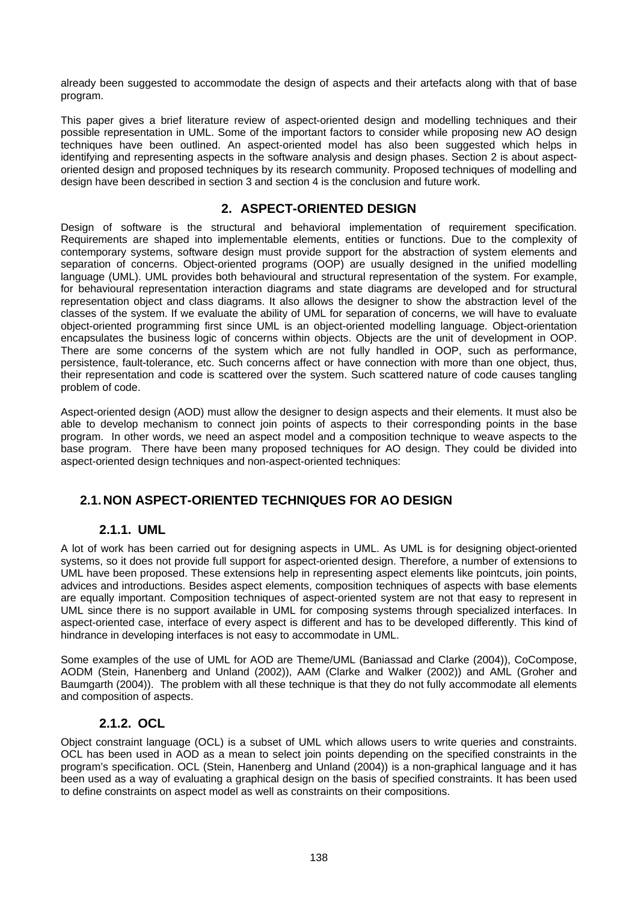already been suggested to accommodate the design of aspects and their artefacts along with that of base program.

This paper gives a brief literature review of aspect-oriented design and modelling techniques and their possible representation in UML. Some of the important factors to consider while proposing new AO design techniques have been outlined. An aspect-oriented model has also been suggested which helps in identifying and representing aspects in the software analysis and design phases. Section 2 is about aspectoriented design and proposed techniques by its research community. Proposed techniques of modelling and design have been described in section 3 and section 4 is the conclusion and future work.

### **2. ASPECT-ORIENTED DESIGN**

Design of software is the structural and behavioral implementation of requirement specification. Requirements are shaped into implementable elements, entities or functions. Due to the complexity of contemporary systems, software design must provide support for the abstraction of system elements and separation of concerns. Object-oriented programs (OOP) are usually designed in the unified modelling language (UML). UML provides both behavioural and structural representation of the system. For example, for behavioural representation interaction diagrams and state diagrams are developed and for structural representation object and class diagrams. It also allows the designer to show the abstraction level of the classes of the system. If we evaluate the ability of UML for separation of concerns, we will have to evaluate object-oriented programming first since UML is an object-oriented modelling language. Object-orientation encapsulates the business logic of concerns within objects. Objects are the unit of development in OOP. There are some concerns of the system which are not fully handled in OOP, such as performance, persistence, fault-tolerance, etc. Such concerns affect or have connection with more than one object, thus, their representation and code is scattered over the system. Such scattered nature of code causes tangling problem of code.

Aspect-oriented design (AOD) must allow the designer to design aspects and their elements. It must also be able to develop mechanism to connect join points of aspects to their corresponding points in the base program. In other words, we need an aspect model and a composition technique to weave aspects to the base program. There have been many proposed techniques for AO design. They could be divided into aspect-oriented design techniques and non-aspect-oriented techniques:

## **2.1.NON ASPECT-ORIENTED TECHNIQUES FOR AO DESIGN**

#### **2.1.1. UML**

A lot of work has been carried out for designing aspects in UML. As UML is for designing object-oriented systems, so it does not provide full support for aspect-oriented design. Therefore, a number of extensions to UML have been proposed. These extensions help in representing aspect elements like pointcuts, join points, advices and introductions. Besides aspect elements, composition techniques of aspects with base elements are equally important. Composition techniques of aspect-oriented system are not that easy to represent in UML since there is no support available in UML for composing systems through specialized interfaces. In aspect-oriented case, interface of every aspect is different and has to be developed differently. This kind of hindrance in developing interfaces is not easy to accommodate in UML.

Some examples of the use of UML for AOD are Theme/UML (Baniassad and Clarke (2004)), CoCompose, AODM (Stein, Hanenberg and Unland (2002)), AAM (Clarke and Walker (2002)) and AML (Groher and Baumgarth (2004)). The problem with all these technique is that they do not fully accommodate all elements and composition of aspects.

#### **2.1.2. OCL**

Object constraint language (OCL) is a subset of UML which allows users to write queries and constraints. OCL has been used in AOD as a mean to select join points depending on the specified constraints in the program's specification. OCL (Stein, Hanenberg and Unland (2004)) is a non-graphical language and it has been used as a way of evaluating a graphical design on the basis of specified constraints. It has been used to define constraints on aspect model as well as constraints on their compositions.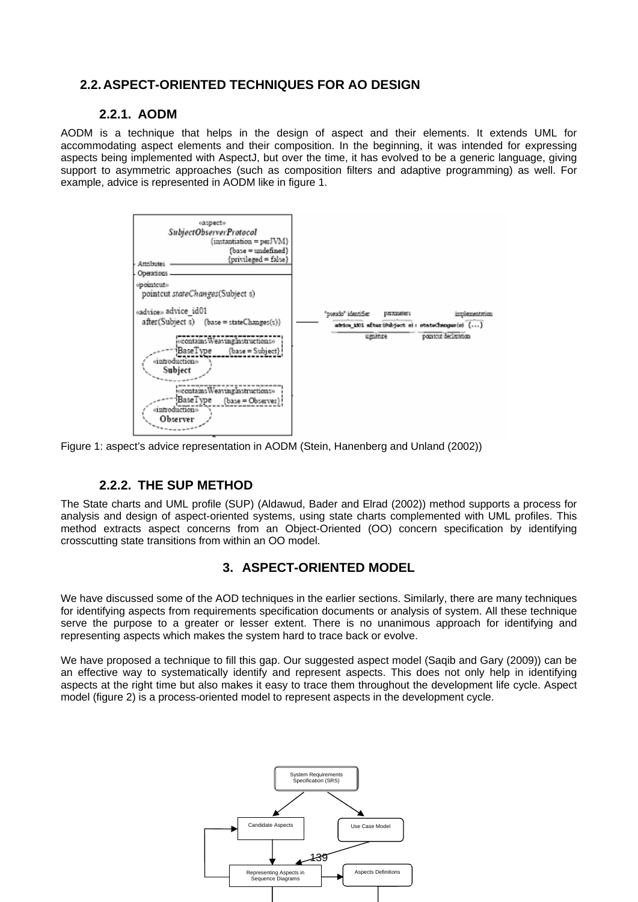### **2.2.ASPECT-ORIENTED TECHNIQUES FOR AO DESIGN**

#### **2.2.1. AODM**

AODM is a technique that helps in the design of aspect and their elements. It extends UML for accommodating aspect elements and their composition. In the beginning, it was intended for expressing aspects being implemented with AspectJ, but over the time, it has evolved to be a generic language, giving support to asymmetric approaches (such as composition filters and adaptive programming) as well. For example, advice is represented in AODM like in figure 1.



Figure 1: aspect's advice representation in AODM (Stein, Hanenberg and Unland (2002))

## **2.2.2. THE SUP METHOD**

The State charts and UML profile (SUP) (Aldawud, Bader and Elrad (2002)) method supports a process for analysis and design of aspect-oriented systems, using state charts complemented with UML profiles. This method extracts aspect concerns from an Object-Oriented (OO) concern specification by identifying crosscutting state transitions from within an OO model.

### **3. ASPECT-ORIENTED MODEL**

We have discussed some of the AOD techniques in the earlier sections. Similarly, there are many techniques for identifying aspects from requirements specification documents or analysis of system. All these technique serve the purpose to a greater or lesser extent. There is no unanimous approach for identifying and representing aspects which makes the system hard to trace back or evolve.

We have proposed a technique to fill this gap. Our suggested aspect model (Saqib and Gary (2009)) can be an effective way to systematically identify and represent aspects. This does not only help in identifying aspects at the right time but also makes it easy to trace them throughout the development life cycle. Aspect model (figure 2) is a process-oriented model to represent aspects in the development cycle.

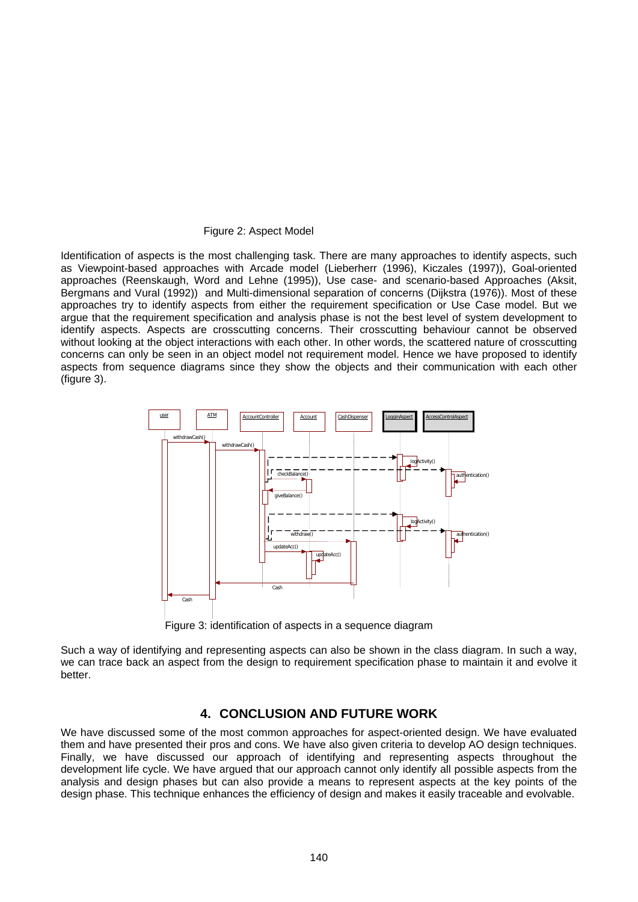#### Figure 2: Aspect Model

Identification of aspects is the most challenging task. There are many approaches to identify aspects, such as Viewpoint-based approaches with Arcade model (Lieberherr (1996), Kiczales (1997)), Goal-oriented approaches (Reenskaugh, Word and Lehne (1995)), Use case- and scenario-based Approaches (Aksit, Bergmans and Vural (1992)) and Multi-dimensional separation of concerns (Dijkstra (1976)). Most of these approaches try to identify aspects from either the requirement specification or Use Case model. But we argue that the requirement specification and analysis phase is not the best level of system development to identify aspects. Aspects are crosscutting concerns. Their crosscutting behaviour cannot be observed without looking at the object interactions with each other. In other words, the scattered nature of crosscutting concerns can only be seen in an object model not requirement model. Hence we have proposed to identify aspects from sequence diagrams since they show the objects and their communication with each other (figure 3).



Figure 3: identification of aspects in a sequence diagram

Such a way of identifying and representing aspects can also be shown in the class diagram. In such a way, we can trace back an aspect from the design to requirement specification phase to maintain it and evolve it better.

#### **4. CONCLUSION AND FUTURE WORK**

We have discussed some of the most common approaches for aspect-oriented design. We have evaluated them and have presented their pros and cons. We have also given criteria to develop AO design techniques. Finally, we have discussed our approach of identifying and representing aspects throughout the development life cycle. We have argued that our approach cannot only identify all possible aspects from the analysis and design phases but can also provide a means to represent aspects at the key points of the design phase. This technique enhances the efficiency of design and makes it easily traceable and evolvable.